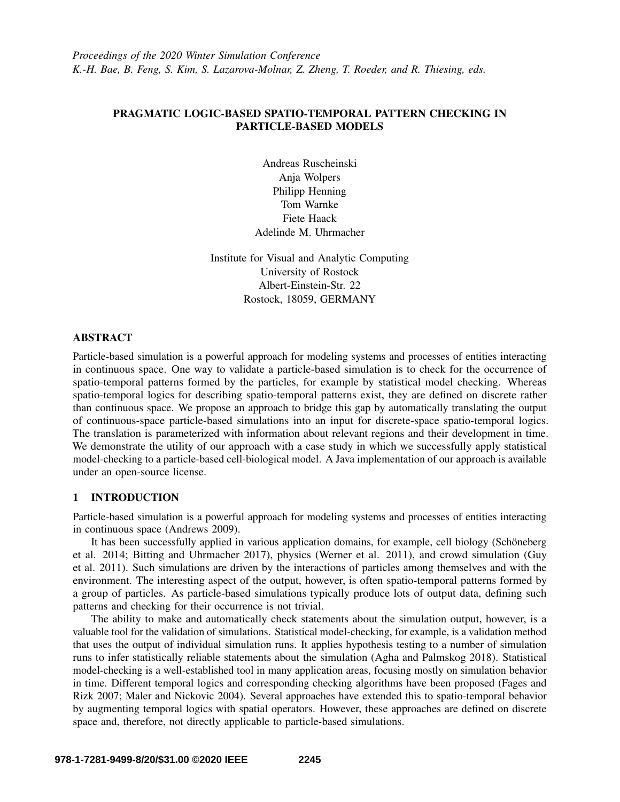# PRAGMATIC LOGIC-BASED SPATIO-TEMPORAL PATTERN CHECKING IN PARTICLE-BASED MODELS

Andreas Ruscheinski Anja Wolpers Philipp Henning Tom Warnke Fiete Haack Adelinde M. Uhrmacher

Institute for Visual and Analytic Computing University of Rostock Albert-Einstein-Str. 22 Rostock, 18059, GERMANY

## **ABSTRACT**

Particle-based simulation is a powerful approach for modeling systems and processes of entities interacting in continuous space. One way to validate a particle-based simulation is to check for the occurrence of spatio-temporal patterns formed by the particles, for example by statistical model checking. Whereas spatio-temporal logics for describing spatio-temporal patterns exist, they are defined on discrete rather than continuous space. We propose an approach to bridge this gap by automatically translating the output of continuous-space particle-based simulations into an input for discrete-space spatio-temporal logics. The translation is parameterized with information about relevant regions and their development in time. We demonstrate the utility of our approach with a case study in which we successfully apply statistical model-checking to a particle-based cell-biological model. A Java implementation of our approach is available under an open-source license.

## 1 INTRODUCTION

Particle-based simulation is a powerful approach for modeling systems and processes of entities interacting in continuous space [\(Andrews 2009\)](#page-10-0).

It has been successfully applied in various application domains, for example, cell biology (Schöneberg [et al. 2014;](#page-11-0) [Bitting and Uhrmacher 2017\)](#page-10-1), physics [\(Werner et al. 2011\)](#page-11-1), and crowd simulation [\(Guy](#page-10-2) [et al. 2011\)](#page-10-2). Such simulations are driven by the interactions of particles among themselves and with the environment. The interesting aspect of the output, however, is often spatio-temporal patterns formed by a group of particles. As particle-based simulations typically produce lots of output data, defining such patterns and checking for their occurrence is not trivial.

The ability to make and automatically check statements about the simulation output, however, is a valuable tool for the validation of simulations. Statistical model-checking, for example, is a validation method that uses the output of individual simulation runs. It applies hypothesis testing to a number of simulation runs to infer statistically reliable statements about the simulation [\(Agha and Palmskog 2018\)](#page-10-3). Statistical model-checking is a well-established tool in many application areas, focusing mostly on simulation behavior in time. Different temporal logics and corresponding checking algorithms have been proposed [\(Fages and](#page-10-4) [Rizk 2007;](#page-10-4) [Maler and Nickovic 2004\)](#page-10-5). Several approaches have extended this to spatio-temporal behavior by augmenting temporal logics with spatial operators. However, these approaches are defined on discrete space and, therefore, not directly applicable to particle-based simulations.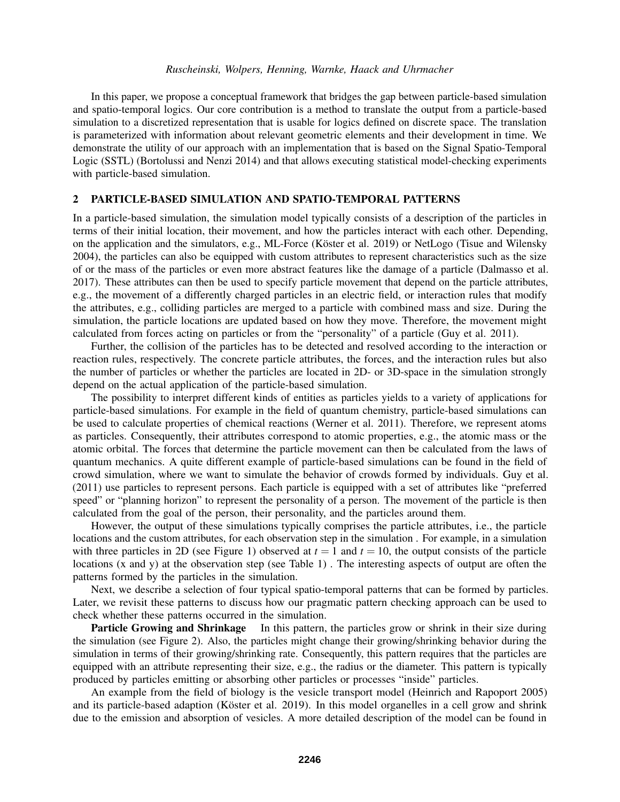In this paper, we propose a conceptual framework that bridges the gap between particle-based simulation and spatio-temporal logics. Our core contribution is a method to translate the output from a particle-based simulation to a discretized representation that is usable for logics defined on discrete space. The translation is parameterized with information about relevant geometric elements and their development in time. We demonstrate the utility of our approach with an implementation that is based on the Signal Spatio-Temporal Logic (SSTL) [\(Bortolussi and Nenzi 2014\)](#page-10-6) and that allows executing statistical model-checking experiments with particle-based simulation.

### 2 PARTICLE-BASED SIMULATION AND SPATIO-TEMPORAL PATTERNS

In a particle-based simulation, the simulation model typically consists of a description of the particles in terms of their initial location, their movement, and how the particles interact with each other. Depending, on the application and the simulators, e.g., ML-Force (Köster et al. 2019) or NetLogo [\(Tisue and Wilensky](#page-11-2) [2004\)](#page-11-2), the particles can also be equipped with custom attributes to represent characteristics such as the size of or the mass of the particles or even more abstract features like the damage of a particle [\(Dalmasso et al.](#page-10-8) [2017\)](#page-10-8). These attributes can then be used to specify particle movement that depend on the particle attributes, e.g., the movement of a differently charged particles in an electric field, or interaction rules that modify the attributes, e.g., colliding particles are merged to a particle with combined mass and size. During the simulation, the particle locations are updated based on how they move. Therefore, the movement might calculated from forces acting on particles or from the "personality" of a particle [\(Guy et al. 2011\)](#page-10-2).

Further, the collision of the particles has to be detected and resolved according to the interaction or reaction rules, respectively. The concrete particle attributes, the forces, and the interaction rules but also the number of particles or whether the particles are located in 2D- or 3D-space in the simulation strongly depend on the actual application of the particle-based simulation.

The possibility to interpret different kinds of entities as particles yields to a variety of applications for particle-based simulations. For example in the field of quantum chemistry, particle-based simulations can be used to calculate properties of chemical reactions [\(Werner et al. 2011\)](#page-11-1). Therefore, we represent atoms as particles. Consequently, their attributes correspond to atomic properties, e.g., the atomic mass or the atomic orbital. The forces that determine the particle movement can then be calculated from the laws of quantum mechanics. A quite different example of particle-based simulations can be found in the field of crowd simulation, where we want to simulate the behavior of crowds formed by individuals. [Guy et al.](#page-10-2) [\(2011\)](#page-10-2) use particles to represent persons. Each particle is equipped with a set of attributes like "preferred speed" or "planning horizon" to represent the personality of a person. The movement of the particle is then calculated from the goal of the person, their personality, and the particles around them.

However, the output of these simulations typically comprises the particle attributes, i.e., the particle locations and the custom attributes, for each observation step in the simulation . For example, in a simulation with three particles in 2D (see Figure [1\)](#page-2-0) observed at  $t = 1$  and  $t = 10$ , the output consists of the particle locations (x and y) at the observation step (see Table [1\)](#page-2-0) . The interesting aspects of output are often the patterns formed by the particles in the simulation.

Next, we describe a selection of four typical spatio-temporal patterns that can be formed by particles. Later, we revisit these patterns to discuss how our pragmatic pattern checking approach can be used to check whether these patterns occurred in the simulation.

Particle Growing and Shrinkage In this pattern, the particles grow or shrink in their size during the simulation (see Figure [2\)](#page-2-1). Also, the particles might change their growing/shrinking behavior during the simulation in terms of their growing/shrinking rate. Consequently, this pattern requires that the particles are equipped with an attribute representing their size, e.g., the radius or the diameter. This pattern is typically produced by particles emitting or absorbing other particles or processes "inside" particles.

An example from the field of biology is the vesicle transport model [\(Heinrich and Rapoport 2005\)](#page-10-9) and its particle-based adaption (Köster et al. 2019). In this model organelles in a cell grow and shrink due to the emission and absorption of vesicles. A more detailed description of the model can be found in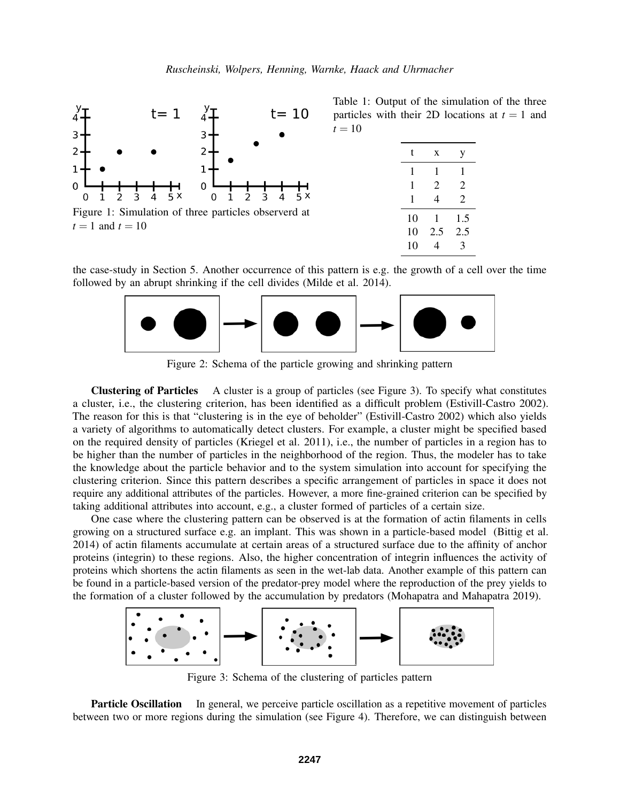<span id="page-2-0"></span>

Table 1: Output of the simulation of the three particles with their 2D locations at  $t = 1$  and  $t = 10$ 

| t  | X   | y              |
|----|-----|----------------|
| 1  | 1   | 1              |
| 1  | 2   | 2              |
| 1  | 4   | $\overline{2}$ |
| 10 | 1   | 1.5            |
| 10 | 2.5 | 2.5            |
| 10 | 4   | 3              |
|    |     |                |

<span id="page-2-1"></span>the case-study in Section [5.](#page-6-0) Another occurrence of this pattern is e.g. the growth of a cell over the time followed by an abrupt shrinking if the cell divides [\(Milde et al. 2014\)](#page-10-10).



Figure 2: Schema of the particle growing and shrinking pattern

Clustering of Particles A cluster is a group of particles (see Figure [3\)](#page-2-2). To specify what constitutes a cluster, i.e., the clustering criterion, has been identified as a difficult problem [\(Estivill-Castro 2002\)](#page-10-11). The reason for this is that "clustering is in the eye of beholder" [\(Estivill-Castro 2002\)](#page-10-11) which also yields a variety of algorithms to automatically detect clusters. For example, a cluster might be specified based on the required density of particles [\(Kriegel et al. 2011\)](#page-10-12), i.e., the number of particles in a region has to be higher than the number of particles in the neighborhood of the region. Thus, the modeler has to take the knowledge about the particle behavior and to the system simulation into account for specifying the clustering criterion. Since this pattern describes a specific arrangement of particles in space it does not require any additional attributes of the particles. However, a more fine-grained criterion can be specified by taking additional attributes into account, e.g., a cluster formed of particles of a certain size.

One case where the clustering pattern can be observed is at the formation of actin filaments in cells growing on a structured surface e.g. an implant. This was shown in a particle-based model [\(Bittig et al.](#page-11-3) [2014\)](#page-11-3) of actin filaments accumulate at certain areas of a structured surface due to the affinity of anchor proteins (integrin) to these regions. Also, the higher concentration of integrin influences the activity of proteins which shortens the actin filaments as seen in the wet-lab data. Another example of this pattern can be found in a particle-based version of the predator-prey model where the reproduction of the prey yields to the formation of a cluster followed by the accumulation by predators [\(Mohapatra and Mahapatra 2019\)](#page-10-13).

<span id="page-2-2"></span>

Figure 3: Schema of the clustering of particles pattern

**Particle Oscillation** In general, we perceive particle oscillation as a repetitive movement of particles between two or more regions during the simulation (see Figure [4\)](#page-3-0). Therefore, we can distinguish between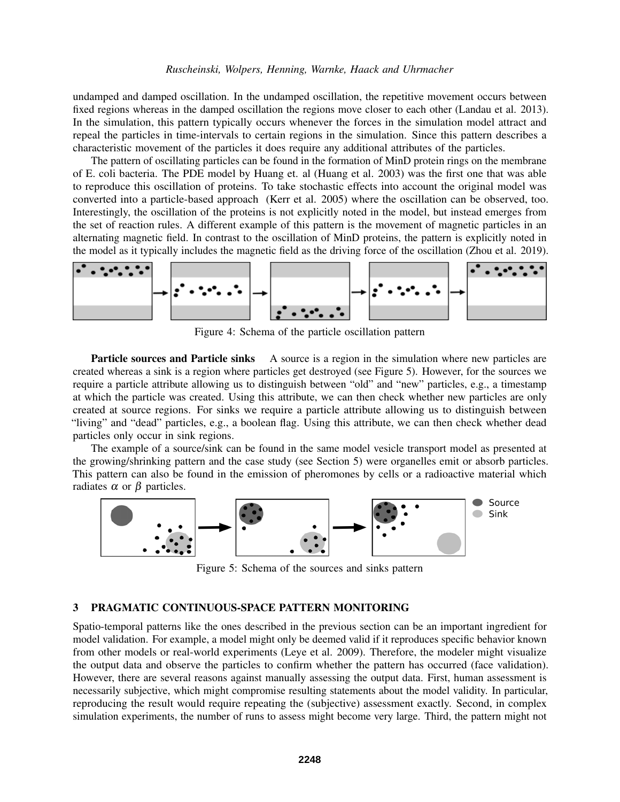undamped and damped oscillation. In the undamped oscillation, the repetitive movement occurs between fixed regions whereas in the damped oscillation the regions move closer to each other [\(Landau et al. 2013\)](#page-10-14). In the simulation, this pattern typically occurs whenever the forces in the simulation model attract and repeal the particles in time-intervals to certain regions in the simulation. Since this pattern describes a characteristic movement of the particles it does require any additional attributes of the particles.

The pattern of oscillating particles can be found in the formation of MinD protein rings on the membrane of E. coli bacteria. The PDE model by Huang et. al [\(Huang et al. 2003\)](#page-10-15) was the first one that was able to reproduce this oscillation of proteins. To take stochastic effects into account the original model was converted into a particle-based approach [\(Kerr et al. 2005\)](#page-10-16) where the oscillation can be observed, too. Interestingly, the oscillation of the proteins is not explicitly noted in the model, but instead emerges from the set of reaction rules. A different example of this pattern is the movement of magnetic particles in an alternating magnetic field. In contrast to the oscillation of MinD proteins, the pattern is explicitly noted in the model as it typically includes the magnetic field as the driving force of the oscillation [\(Zhou et al. 2019\)](#page-11-4).

<span id="page-3-0"></span>

Figure 4: Schema of the particle oscillation pattern

Particle sources and Particle sinks A source is a region in the simulation where new particles are created whereas a sink is a region where particles get destroyed (see Figure [5\)](#page-3-1). However, for the sources we require a particle attribute allowing us to distinguish between "old" and "new" particles, e.g., a timestamp at which the particle was created. Using this attribute, we can then check whether new particles are only created at source regions. For sinks we require a particle attribute allowing us to distinguish between "living" and "dead" particles, e.g., a boolean flag. Using this attribute, we can then check whether dead particles only occur in sink regions.

The example of a source/sink can be found in the same model vesicle transport model as presented at the growing/shrinking pattern and the case study (see Section [5\)](#page-6-0) were organelles emit or absorb particles. This pattern can also be found in the emission of pheromones by cells or a radioactive material which radiates  $\alpha$  or  $\beta$  particles.

<span id="page-3-1"></span>

Figure 5: Schema of the sources and sinks pattern

## 3 PRAGMATIC CONTINUOUS-SPACE PATTERN MONITORING

Spatio-temporal patterns like the ones described in the previous section can be an important ingredient for model validation. For example, a model might only be deemed valid if it reproduces specific behavior known from other models or real-world experiments [\(Leye et al. 2009\)](#page-10-17). Therefore, the modeler might visualize the output data and observe the particles to confirm whether the pattern has occurred (face validation). However, there are several reasons against manually assessing the output data. First, human assessment is necessarily subjective, which might compromise resulting statements about the model validity. In particular, reproducing the result would require repeating the (subjective) assessment exactly. Second, in complex simulation experiments, the number of runs to assess might become very large. Third, the pattern might not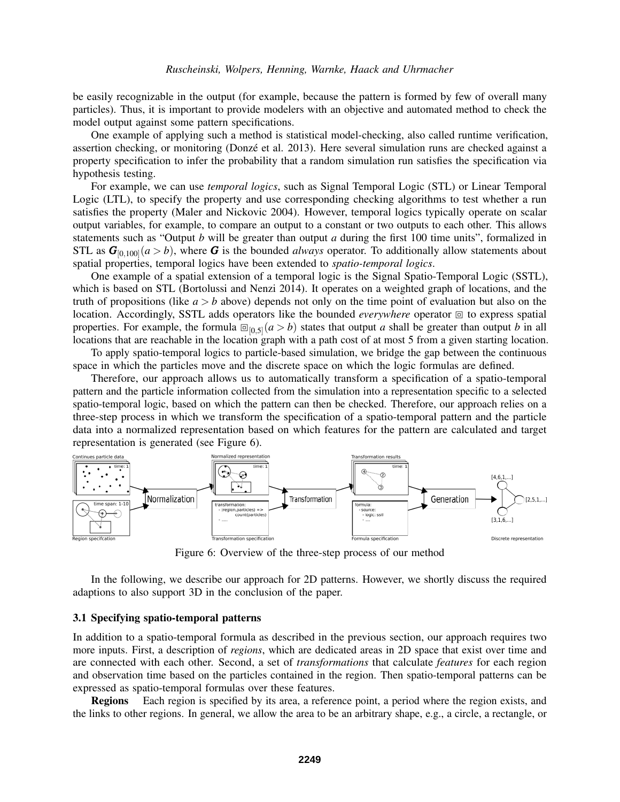be easily recognizable in the output (for example, because the pattern is formed by few of overall many particles). Thus, it is important to provide modelers with an objective and automated method to check the model output against some pattern specifications.

One example of applying such a method is statistical model-checking, also called runtime verification, assertion checking, or monitoring [\(Donze et al. 2013\)](#page-10-18). Here several simulation runs are checked against a ´ property specification to infer the probability that a random simulation run satisfies the specification via hypothesis testing.

For example, we can use *temporal logics*, such as Signal Temporal Logic (STL) or Linear Temporal Logic (LTL), to specify the property and use corresponding checking algorithms to test whether a run satisfies the property [\(Maler and Nickovic 2004\)](#page-10-5). However, temporal logics typically operate on scalar output variables, for example, to compare an output to a constant or two outputs to each other. This allows statements such as "Output *b* will be greater than output *a* during the first 100 time units", formalized in STL as  $G_{[0,100]}(a > b)$ , where G is the bounded *always* operator. To additionally allow statements about spatial properties, temporal logics have been extended to *spatio-temporal logics*.

One example of a spatial extension of a temporal logic is the Signal Spatio-Temporal Logic (SSTL), which is based on STL [\(Bortolussi and Nenzi 2014\)](#page-10-6). It operates on a weighted graph of locations, and the truth of propositions (like  $a > b$  above) depends not only on the time point of evaluation but also on the location. Accordingly, SSTL adds operators like the bounded *everywhere* operator to express spatial properties. For example, the formula  $\mathbb{E}_{[0,5]}(a > b)$  states that output *a* shall be greater than output *b* in all<br>locations that are reachable in the location graph with a path cost of at most 5 from a given starting locations that are reachable in the location graph with a path cost of at most 5 from a given starting location.

To apply spatio-temporal logics to particle-based simulation, we bridge the gap between the continuous space in which the particles move and the discrete space on which the logic formulas are defined.

Therefore, our approach allows us to automatically transform a specification of a spatio-temporal pattern and the particle information collected from the simulation into a representation specific to a selected spatio-temporal logic, based on which the pattern can then be checked. Therefore, our approach relies on a three-step process in which we transform the specification of a spatio-temporal pattern and the particle data into a normalized representation based on which features for the pattern are calculated and target representation is generated (see Figure [6\)](#page-4-0).

<span id="page-4-0"></span>

Figure 6: Overview of the three-step process of our method

In the following, we describe our approach for 2D patterns. However, we shortly discuss the required adaptions to also support 3D in the conclusion of the paper.

### 3.1 Specifying spatio-temporal patterns

In addition to a spatio-temporal formula as described in the previous section, our approach requires two more inputs. First, a description of *regions*, which are dedicated areas in 2D space that exist over time and are connected with each other. Second, a set of *transformations* that calculate *features* for each region and observation time based on the particles contained in the region. Then spatio-temporal patterns can be expressed as spatio-temporal formulas over these features.

Regions Each region is specified by its area, a reference point, a period where the region exists, and the links to other regions. In general, we allow the area to be an arbitrary shape, e.g., a circle, a rectangle, or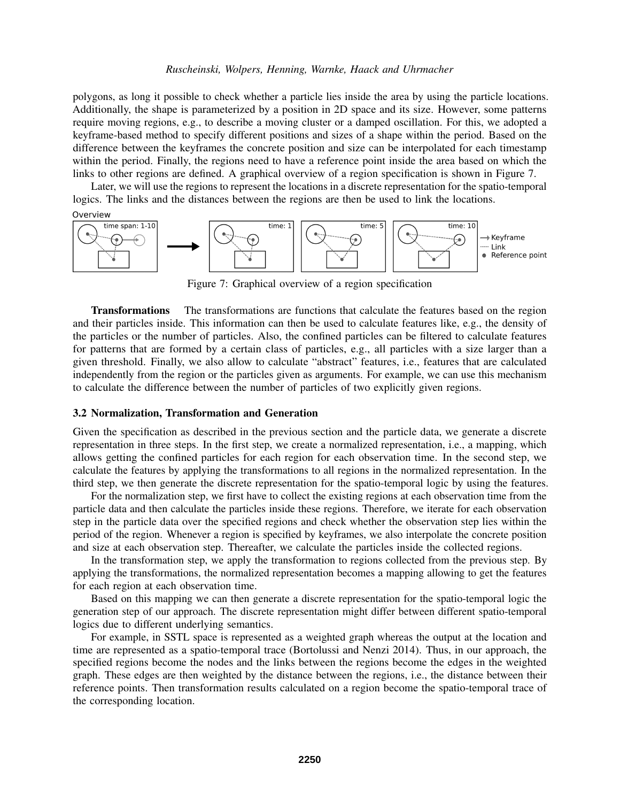polygons, as long it possible to check whether a particle lies inside the area by using the particle locations. Additionally, the shape is parameterized by a position in 2D space and its size. However, some patterns require moving regions, e.g., to describe a moving cluster or a damped oscillation. For this, we adopted a keyframe-based method to specify different positions and sizes of a shape within the period. Based on the difference between the keyframes the concrete position and size can be interpolated for each timestamp within the period. Finally, the regions need to have a reference point inside the area based on which the links to other regions are defined. A graphical overview of a region specification is shown in Figure [7.](#page-5-0)

Later, we will use the regions to represent the locations in a discrete representation for the spatio-temporal logics. The links and the distances between the regions are then be used to link the locations.

<span id="page-5-0"></span>

Figure 7: Graphical overview of a region specification

Transformations The transformations are functions that calculate the features based on the region and their particles inside. This information can then be used to calculate features like, e.g., the density of the particles or the number of particles. Also, the confined particles can be filtered to calculate features for patterns that are formed by a certain class of particles, e.g., all particles with a size larger than a given threshold. Finally, we also allow to calculate "abstract" features, i.e., features that are calculated independently from the region or the particles given as arguments. For example, we can use this mechanism to calculate the difference between the number of particles of two explicitly given regions.

### 3.2 Normalization, Transformation and Generation

Given the specification as described in the previous section and the particle data, we generate a discrete representation in three steps. In the first step, we create a normalized representation, i.e., a mapping, which allows getting the confined particles for each region for each observation time. In the second step, we calculate the features by applying the transformations to all regions in the normalized representation. In the third step, we then generate the discrete representation for the spatio-temporal logic by using the features.

For the normalization step, we first have to collect the existing regions at each observation time from the particle data and then calculate the particles inside these regions. Therefore, we iterate for each observation step in the particle data over the specified regions and check whether the observation step lies within the period of the region. Whenever a region is specified by keyframes, we also interpolate the concrete position and size at each observation step. Thereafter, we calculate the particles inside the collected regions.

In the transformation step, we apply the transformation to regions collected from the previous step. By applying the transformations, the normalized representation becomes a mapping allowing to get the features for each region at each observation time.

Based on this mapping we can then generate a discrete representation for the spatio-temporal logic the generation step of our approach. The discrete representation might differ between different spatio-temporal logics due to different underlying semantics.

For example, in SSTL space is represented as a weighted graph whereas the output at the location and time are represented as a spatio-temporal trace [\(Bortolussi and Nenzi 2014\)](#page-10-6). Thus, in our approach, the specified regions become the nodes and the links between the regions become the edges in the weighted graph. These edges are then weighted by the distance between the regions, i.e., the distance between their reference points. Then transformation results calculated on a region become the spatio-temporal trace of the corresponding location.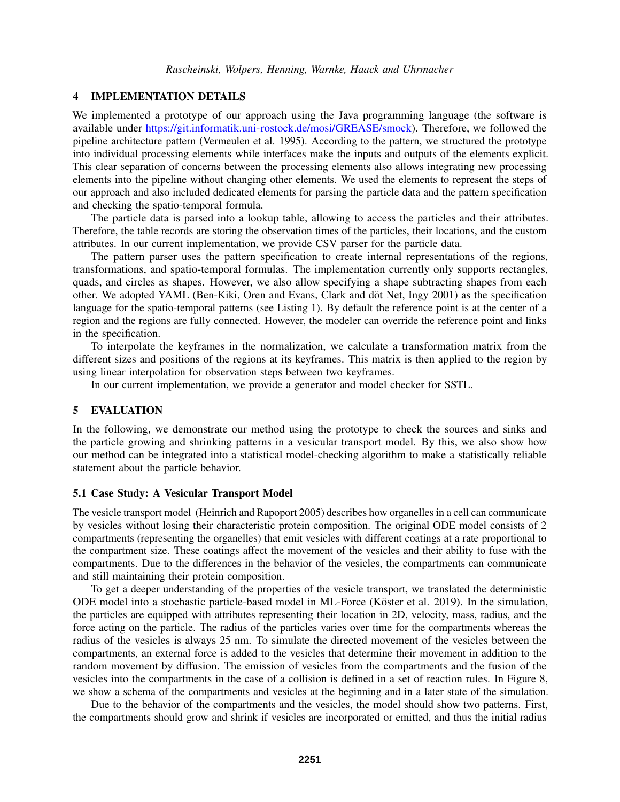### 4 IMPLEMENTATION DETAILS

We implemented a prototype of our approach using the Java programming language (the software is available under [https://git.informatik.uni-rostock.de/mosi/GREASE/smock\)](https://git.informatik.uni-rostock.de/mosi/GREASE/smock). Therefore, we followed the pipeline architecture pattern [\(Vermeulen et al. 1995\)](#page-11-5). According to the pattern, we structured the prototype into individual processing elements while interfaces make the inputs and outputs of the elements explicit. This clear separation of concerns between the processing elements also allows integrating new processing elements into the pipeline without changing other elements. We used the elements to represent the steps of our approach and also included dedicated elements for parsing the particle data and the pattern specification and checking the spatio-temporal formula.

The particle data is parsed into a lookup table, allowing to access the particles and their attributes. Therefore, the table records are storing the observation times of the particles, their locations, and the custom attributes. In our current implementation, we provide CSV parser for the particle data.

The pattern parser uses the pattern specification to create internal representations of the regions, transformations, and spatio-temporal formulas. The implementation currently only supports rectangles, quads, and circles as shapes. However, we also allow specifying a shape subtracting shapes from each other. We adopted YAML (Ben-Kiki, Oren and Evans, Clark and döt Net, Ingy 2001) as the specification language for the spatio-temporal patterns (see Listing [1\)](#page-7-0). By default the reference point is at the center of a region and the regions are fully connected. However, the modeler can override the reference point and links in the specification.

To interpolate the keyframes in the normalization, we calculate a transformation matrix from the different sizes and positions of the regions at its keyframes. This matrix is then applied to the region by using linear interpolation for observation steps between two keyframes.

In our current implementation, we provide a generator and model checker for SSTL.

## <span id="page-6-0"></span>5 EVALUATION

In the following, we demonstrate our method using the prototype to check the sources and sinks and the particle growing and shrinking patterns in a vesicular transport model. By this, we also show how our method can be integrated into a statistical model-checking algorithm to make a statistically reliable statement about the particle behavior.

#### 5.1 Case Study: A Vesicular Transport Model

The vesicle transport model [\(Heinrich and Rapoport 2005\)](#page-10-9) describes how organelles in a cell can communicate by vesicles without losing their characteristic protein composition. The original ODE model consists of 2 compartments (representing the organelles) that emit vesicles with different coatings at a rate proportional to the compartment size. These coatings affect the movement of the vesicles and their ability to fuse with the compartments. Due to the differences in the behavior of the vesicles, the compartments can communicate and still maintaining their protein composition.

To get a deeper understanding of the properties of the vesicle transport, we translated the deterministic ODE model into a stochastic particle-based model in ML-Force (Köster et al. 2019). In the simulation, the particles are equipped with attributes representing their location in 2D, velocity, mass, radius, and the force acting on the particle. The radius of the particles varies over time for the compartments whereas the radius of the vesicles is always 25 nm. To simulate the directed movement of the vesicles between the compartments, an external force is added to the vesicles that determine their movement in addition to the random movement by diffusion. The emission of vesicles from the compartments and the fusion of the vesicles into the compartments in the case of a collision is defined in a set of reaction rules. In Figure [8,](#page-7-1) we show a schema of the compartments and vesicles at the beginning and in a later state of the simulation.

Due to the behavior of the compartments and the vesicles, the model should show two patterns. First, the compartments should grow and shrink if vesicles are incorporated or emitted, and thus the initial radius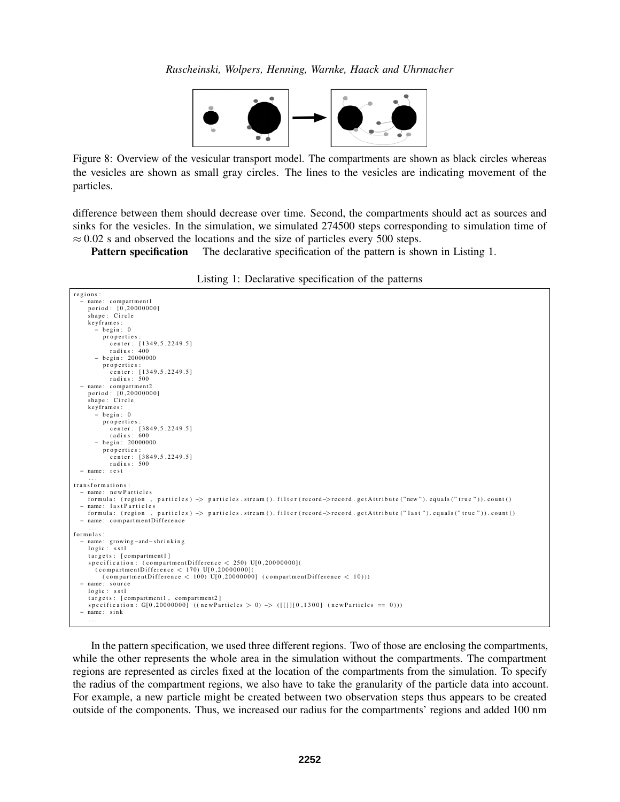*Ruscheinski, Wolpers, Henning, Warnke, Haack and Uhrmacher*



<span id="page-7-1"></span>Figure 8: Overview of the vesicular transport model. The compartments are shown as black circles whereas the vesicles are shown as small gray circles. The lines to the vesicles are indicating movement of the particles.

difference between them should decrease over time. Second, the compartments should act as sources and sinks for the vesicles. In the simulation, we simulated 274500 steps corresponding to simulation time of  $\approx 0.02$  s and observed the locations and the size of particles every 500 steps.

**Pattern specification** The declarative specification of the pattern is shown in Listing [1.](#page-7-0)

|  | Listing 1: Declarative specification of the patterns |  |
|--|------------------------------------------------------|--|
|  |                                                      |  |

```
r e g i o n s :
    name: compartment 1
     period: [0,20000000]<br>shape: Circle
     k ey frames:<br>− begin: 0
         properties :
             center: [1349.5,2249.5]<br>radius: 400
       − b e gi n : 20000000
          properties :
             center: [1349.5,2249.5]<br>radius: 500
  − name : c om pa rtme nt 2
    period: [0, 20000000]shape: Circle
    key frames:
        .<br>- begin: 0
          properties :
             center: [3849.5,2249.5]<br>radius: 600
       − b e gi n : 20000000
          properties:
            center: [3849.5,2249.5]
            radius: 500
  − name : r e s t
. . .
t r a n s f o r m a t i o n s :
  − name : n e w P a r t i c l e s
    formula: (region, particles) -> particles.stream ().filter (record->record.getAttribute ("new").equals ("true")).count ()
  − name: lastParticles<br>formula: (region,
                              particles) -> particles . stream (). filter (record->record.getAttribute ("last"). equals ("true")). count ()
  - name: compartmentDifference
. . .
f o r m u l a s :
  − name: growing-and-shrinking<br>logic: sstl
    targets: [compartment1]
     specification: (compartmentDifference < 250) U[0,20000000](<br>(compartmentDifference < 170) U[0,20000000](
          \sigma ( compartment Difference \langle 100 \rangle U[0,20000000] ( compartment Difference \langle 10 \rangle ))
  − name: source<br>logic: sstl
    targets: [compartment1, compartment2]
    s p e cification : G[0,20000000] ((new Particles > 0) \rightarrow ([[]][0,1300] (new Particles == 0)))
  − name : s i n k
     . . .
```
In the pattern specification, we used three different regions. Two of those are enclosing the compartments, while the other represents the whole area in the simulation without the compartments. The compartment regions are represented as circles fixed at the location of the compartments from the simulation. To specify the radius of the compartment regions, we also have to take the granularity of the particle data into account. For example, a new particle might be created between two observation steps thus appears to be created outside of the components. Thus, we increased our radius for the compartments' regions and added 100 nm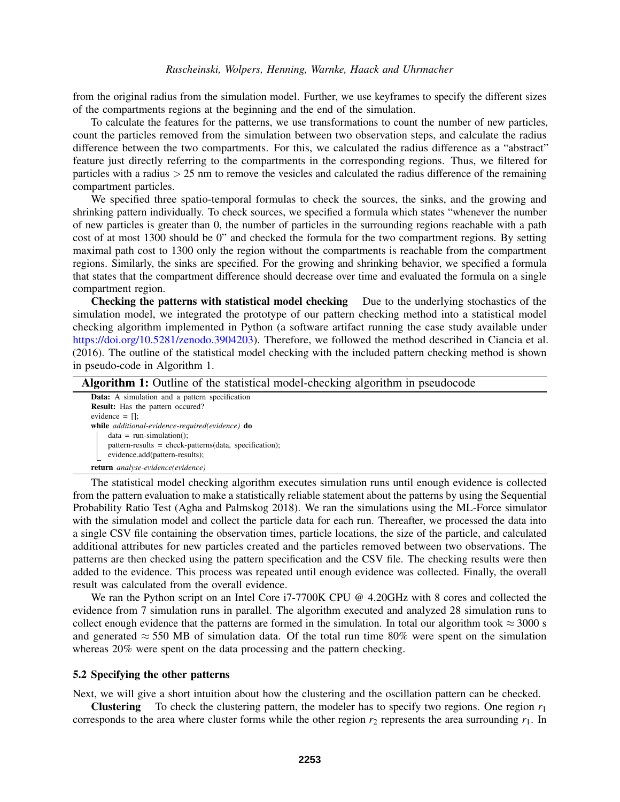from the original radius from the simulation model. Further, we use keyframes to specify the different sizes of the compartments regions at the beginning and the end of the simulation.

To calculate the features for the patterns, we use transformations to count the number of new particles, count the particles removed from the simulation between two observation steps, and calculate the radius difference between the two compartments. For this, we calculated the radius difference as a "abstract" feature just directly referring to the compartments in the corresponding regions. Thus, we filtered for particles with a radius > 25 nm to remove the vesicles and calculated the radius difference of the remaining compartment particles.

We specified three spatio-temporal formulas to check the sources, the sinks, and the growing and shrinking pattern individually. To check sources, we specified a formula which states "whenever the number of new particles is greater than 0, the number of particles in the surrounding regions reachable with a path cost of at most 1300 should be 0" and checked the formula for the two compartment regions. By setting maximal path cost to 1300 only the region without the compartments is reachable from the compartment regions. Similarly, the sinks are specified. For the growing and shrinking behavior, we specified a formula that states that the compartment difference should decrease over time and evaluated the formula on a single compartment region.

Checking the patterns with statistical model checking Due to the underlying stochastics of the simulation model, we integrated the prototype of our pattern checking method into a statistical model checking algorithm implemented in Python (a software artifact running the case study available under [https://doi.org/10.5281/zenodo.3904203\)](https://doi.org/10.5281/zenodo.3904203). Therefore, we followed the method described in [Ciancia et al.](#page-10-20) [\(2016\).](#page-10-20) The outline of the statistical model checking with the included pattern checking method is shown in pseudo-code in Algorithm [1.](#page-8-0)

| Algorithm 1: Outline of the statistical model-checking algorithm in pseudocode |  |  |  |  |  |  |  |  |
|--------------------------------------------------------------------------------|--|--|--|--|--|--|--|--|
|--------------------------------------------------------------------------------|--|--|--|--|--|--|--|--|

<span id="page-8-0"></span>

| <b>Data:</b> A simulation and a pattern specification   |
|---------------------------------------------------------|
| <b>Result:</b> Has the pattern occured?                 |
| evidence $=$ $\Box$ :                                   |
| while additional-evidence-required(evidence) do         |
| $data = run-simulation();$                              |
| $pattern-results = check-patters(data, specification);$ |
| evidence.add(pattern-results);                          |
| <b>return</b> analyse-evidence(evidence)                |

The statistical model checking algorithm executes simulation runs until enough evidence is collected from the pattern evaluation to make a statistically reliable statement about the patterns by using the Sequential Probability Ratio Test [\(Agha and Palmskog 2018\)](#page-10-3). We ran the simulations using the ML-Force simulator with the simulation model and collect the particle data for each run. Thereafter, we processed the data into a single CSV file containing the observation times, particle locations, the size of the particle, and calculated additional attributes for new particles created and the particles removed between two observations. The patterns are then checked using the pattern specification and the CSV file. The checking results were then added to the evidence. This process was repeated until enough evidence was collected. Finally, the overall result was calculated from the overall evidence.

We ran the Python script on an Intel Core i7-7700K CPU @ 4.20GHz with 8 cores and collected the evidence from 7 simulation runs in parallel. The algorithm executed and analyzed 28 simulation runs to collect enough evidence that the patterns are formed in the simulation. In total our algorithm took  $\approx$  3000 s and generated  $\approx$  550 MB of simulation data. Of the total run time 80% were spent on the simulation whereas 20% were spent on the data processing and the pattern checking.

### 5.2 Specifying the other patterns

Next, we will give a short intuition about how the clustering and the oscillation pattern can be checked.

**Clustering** To check the clustering pattern, the modeler has to specify two regions. One region  $r_1$ corresponds to the area where cluster forms while the other region  $r_2$  represents the area surrounding  $r_1$ . In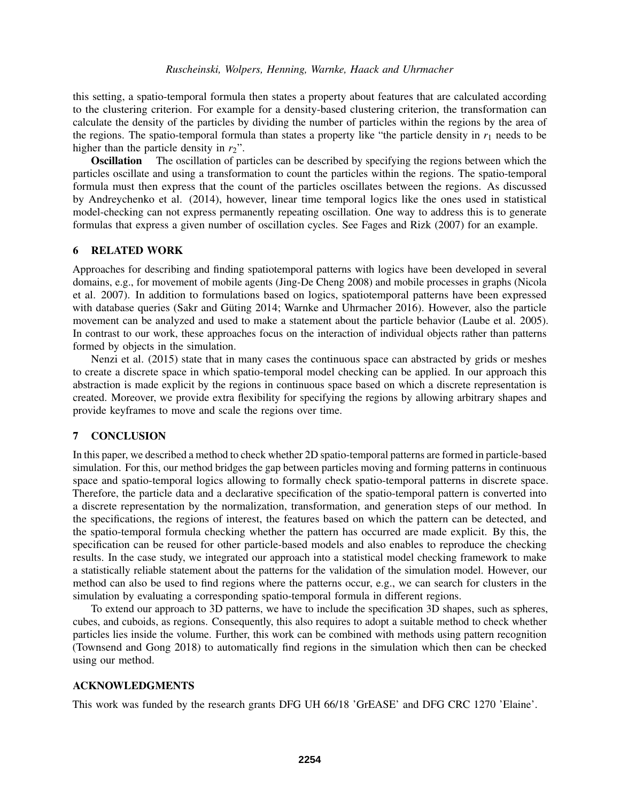this setting, a spatio-temporal formula then states a property about features that are calculated according to the clustering criterion. For example for a density-based clustering criterion, the transformation can calculate the density of the particles by dividing the number of particles within the regions by the area of the regions. The spatio-temporal formula than states a property like "the particle density in  $r_1$  needs to be higher than the particle density in  $r_2$ ".

Oscillation The oscillation of particles can be described by specifying the regions between which the particles oscillate and using a transformation to count the particles within the regions. The spatio-temporal formula must then express that the count of the particles oscillates between the regions. As discussed by [Andreychenko et al. \(2014\),](#page-10-21) however, linear time temporal logics like the ones used in statistical model-checking can not express permanently repeating oscillation. One way to address this is to generate formulas that express a given number of oscillation cycles. See [Fages and Rizk \(2007\)](#page-10-4) for an example.

## 6 RELATED WORK

Approaches for describing and finding spatiotemporal patterns with logics have been developed in several domains, e.g., for movement of mobile agents [\(Jing-De Cheng 2008\)](#page-10-22) and mobile processes in graphs [\(Nicola](#page-10-23) [et al. 2007\)](#page-10-23). In addition to formulations based on logics, spatiotemporal patterns have been expressed with database queries (Sakr and Güting 2014; [Warnke and Uhrmacher 2016\)](#page-11-7). However, also the particle movement can be analyzed and used to make a statement about the particle behavior [\(Laube et al. 2005\)](#page-10-24). In contrast to our work, these approaches focus on the interaction of individual objects rather than patterns formed by objects in the simulation.

[Nenzi et al. \(2015\)](#page-10-25) state that in many cases the continuous space can abstracted by grids or meshes to create a discrete space in which spatio-temporal model checking can be applied. In our approach this abstraction is made explicit by the regions in continuous space based on which a discrete representation is created. Moreover, we provide extra flexibility for specifying the regions by allowing arbitrary shapes and provide keyframes to move and scale the regions over time.

### 7 CONCLUSION

In this paper, we described a method to check whether 2D spatio-temporal patterns are formed in particle-based simulation. For this, our method bridges the gap between particles moving and forming patterns in continuous space and spatio-temporal logics allowing to formally check spatio-temporal patterns in discrete space. Therefore, the particle data and a declarative specification of the spatio-temporal pattern is converted into a discrete representation by the normalization, transformation, and generation steps of our method. In the specifications, the regions of interest, the features based on which the pattern can be detected, and the spatio-temporal formula checking whether the pattern has occurred are made explicit. By this, the specification can be reused for other particle-based models and also enables to reproduce the checking results. In the case study, we integrated our approach into a statistical model checking framework to make a statistically reliable statement about the patterns for the validation of the simulation model. However, our method can also be used to find regions where the patterns occur, e.g., we can search for clusters in the simulation by evaluating a corresponding spatio-temporal formula in different regions.

To extend our approach to 3D patterns, we have to include the specification 3D shapes, such as spheres, cubes, and cuboids, as regions. Consequently, this also requires to adopt a suitable method to check whether particles lies inside the volume. Further, this work can be combined with methods using pattern recognition [\(Townsend and Gong 2018\)](#page-11-8) to automatically find regions in the simulation which then can be checked using our method.

## ACKNOWLEDGMENTS

This work was funded by the research grants DFG UH 66/18 'GrEASE' and DFG CRC 1270 'Elaine'.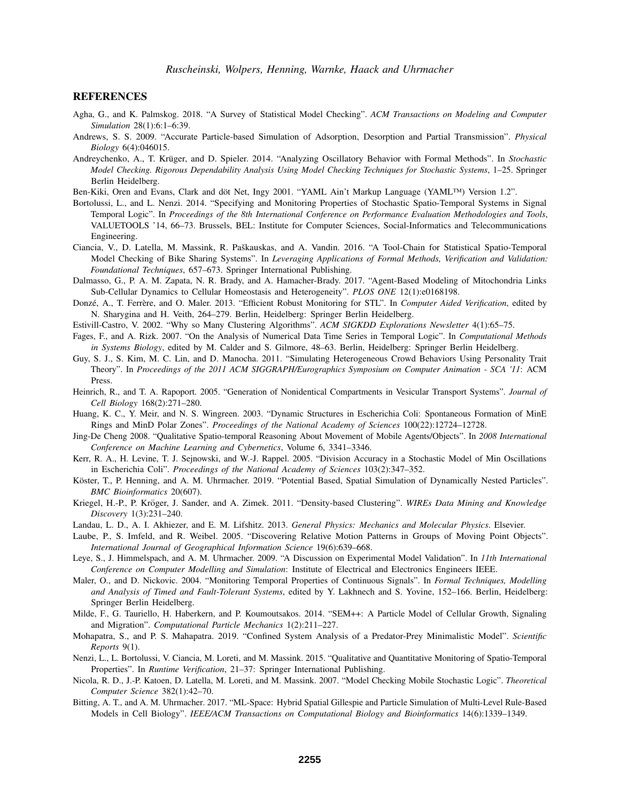### **REFERENCES**

- <span id="page-10-3"></span>Agha, G., and K. Palmskog. 2018. "A Survey of Statistical Model Checking". *ACM Transactions on Modeling and Computer Simulation* 28(1):6:1–6:39.
- <span id="page-10-0"></span>Andrews, S. S. 2009. "Accurate Particle-based Simulation of Adsorption, Desorption and Partial Transmission". *Physical Biology* 6(4):046015.
- <span id="page-10-21"></span>Andreychenko, A., T. Krüger, and D. Spieler. 2014. "Analyzing Oscillatory Behavior with Formal Methods". In Stochastic *Model Checking. Rigorous Dependability Analysis Using Model Checking Techniques for Stochastic Systems*, 1–25. Springer Berlin Heidelberg.
- <span id="page-10-19"></span>Ben-Kiki, Oren and Evans, Clark and döt Net, Ingy 2001. "YAML Ain't Markup Language (YAML™) Version 1.2".
- <span id="page-10-6"></span>Bortolussi, L., and L. Nenzi. 2014. "Specifying and Monitoring Properties of Stochastic Spatio-Temporal Systems in Signal Temporal Logic". In *Proceedings of the 8th International Conference on Performance Evaluation Methodologies and Tools*, VALUETOOLS '14, 66–73. Brussels, BEL: Institute for Computer Sciences, Social-Informatics and Telecommunications Engineering.
- <span id="page-10-20"></span>Ciancia, V., D. Latella, M. Massink, R. Paškauskas, and A. Vandin. 2016. "A Tool-Chain for Statistical Spatio-Temporal Model Checking of Bike Sharing Systems". In *Leveraging Applications of Formal Methods, Verification and Validation: Foundational Techniques*, 657–673. Springer International Publishing.
- <span id="page-10-8"></span>Dalmasso, G., P. A. M. Zapata, N. R. Brady, and A. Hamacher-Brady. 2017. "Agent-Based Modeling of Mitochondria Links Sub-Cellular Dynamics to Cellular Homeostasis and Heterogeneity". *PLOS ONE* 12(1):e0168198.
- <span id="page-10-18"></span>Donzé, A., T. Ferrère, and O. Maler. 2013. "Efficient Robust Monitoring for STL". In *Computer Aided Verification*, edited by N. Sharygina and H. Veith, 264–279. Berlin, Heidelberg: Springer Berlin Heidelberg.
- <span id="page-10-11"></span>Estivill-Castro, V. 2002. "Why so Many Clustering Algorithms". *ACM SIGKDD Explorations Newsletter* 4(1):65–75.
- <span id="page-10-4"></span>Fages, F., and A. Rizk. 2007. "On the Analysis of Numerical Data Time Series in Temporal Logic". In *Computational Methods in Systems Biology*, edited by M. Calder and S. Gilmore, 48–63. Berlin, Heidelberg: Springer Berlin Heidelberg.
- <span id="page-10-2"></span>Guy, S. J., S. Kim, M. C. Lin, and D. Manocha. 2011. "Simulating Heterogeneous Crowd Behaviors Using Personality Trait Theory". In *Proceedings of the 2011 ACM SIGGRAPH/Eurographics Symposium on Computer Animation - SCA '11*: ACM Press.
- <span id="page-10-9"></span>Heinrich, R., and T. A. Rapoport. 2005. "Generation of Nonidentical Compartments in Vesicular Transport Systems". *Journal of Cell Biology* 168(2):271–280.
- <span id="page-10-15"></span>Huang, K. C., Y. Meir, and N. S. Wingreen. 2003. "Dynamic Structures in Escherichia Coli: Spontaneous Formation of MinE Rings and MinD Polar Zones". *Proceedings of the National Academy of Sciences* 100(22):12724–12728.
- <span id="page-10-22"></span>Jing-De Cheng 2008. "Qualitative Spatio-temporal Reasoning About Movement of Mobile Agents/Objects". In *2008 International Conference on Machine Learning and Cybernetics*, Volume 6, 3341–3346.
- <span id="page-10-16"></span>Kerr, R. A., H. Levine, T. J. Sejnowski, and W.-J. Rappel. 2005. "Division Accuracy in a Stochastic Model of Min Oscillations in Escherichia Coli". *Proceedings of the National Academy of Sciences* 103(2):347–352.
- <span id="page-10-7"></span>Köster, T., P. Henning, and A. M. Uhrmacher. 2019. "Potential Based, Spatial Simulation of Dynamically Nested Particles". *BMC Bioinformatics* 20(607).
- <span id="page-10-12"></span>Kriegel, H.-P., P. Kröger, J. Sander, and A. Zimek. 2011. "Density-based Clustering". *WIREs Data Mining and Knowledge Discovery* 1(3):231–240.
- <span id="page-10-14"></span>Landau, L. D., A. I. Akhiezer, and E. M. Lifshitz. 2013. *General Physics: Mechanics and Molecular Physics*. Elsevier.
- <span id="page-10-24"></span>Laube, P., S. Imfeld, and R. Weibel. 2005. "Discovering Relative Motion Patterns in Groups of Moving Point Objects". *International Journal of Geographical Information Science* 19(6):639–668.
- <span id="page-10-17"></span>Leye, S., J. Himmelspach, and A. M. Uhrmacher. 2009. "A Discussion on Experimental Model Validation". In *11th International Conference on Computer Modelling and Simulation*: Institute of Electrical and Electronics Engineers IEEE.
- <span id="page-10-5"></span>Maler, O., and D. Nickovic. 2004. "Monitoring Temporal Properties of Continuous Signals". In *Formal Techniques, Modelling and Analysis of Timed and Fault-Tolerant Systems*, edited by Y. Lakhnech and S. Yovine, 152–166. Berlin, Heidelberg: Springer Berlin Heidelberg.
- <span id="page-10-10"></span>Milde, F., G. Tauriello, H. Haberkern, and P. Koumoutsakos. 2014. "SEM++: A Particle Model of Cellular Growth, Signaling and Migration". *Computational Particle Mechanics* 1(2):211–227.
- <span id="page-10-13"></span>Mohapatra, S., and P. S. Mahapatra. 2019. "Confined System Analysis of a Predator-Prey Minimalistic Model". *Scientific Reports* 9(1).
- <span id="page-10-25"></span>Nenzi, L., L. Bortolussi, V. Ciancia, M. Loreti, and M. Massink. 2015. "Qualitative and Quantitative Monitoring of Spatio-Temporal Properties". In *Runtime Verification*, 21–37: Springer International Publishing.
- <span id="page-10-23"></span>Nicola, R. D., J.-P. Katoen, D. Latella, M. Loreti, and M. Massink. 2007. "Model Checking Mobile Stochastic Logic". *Theoretical Computer Science* 382(1):42–70.
- <span id="page-10-1"></span>Bitting, A. T., and A. M. Uhrmacher. 2017. "ML-Space: Hybrid Spatial Gillespie and Particle Simulation of Multi-Level Rule-Based Models in Cell Biology". *IEEE/ACM Transactions on Computational Biology and Bioinformatics* 14(6):1339–1349.